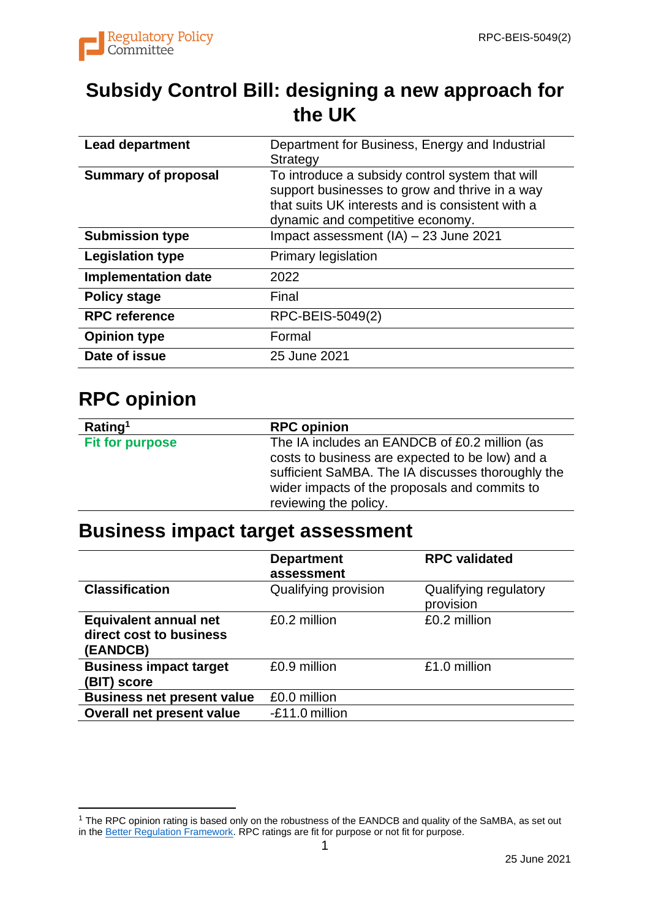

## **Subsidy Control Bill: designing a new approach for the UK**

| <b>Lead department</b>     | Department for Business, Energy and Industrial<br>Strategy                                                                                                                                |
|----------------------------|-------------------------------------------------------------------------------------------------------------------------------------------------------------------------------------------|
| <b>Summary of proposal</b> | To introduce a subsidy control system that will<br>support businesses to grow and thrive in a way<br>that suits UK interests and is consistent with a<br>dynamic and competitive economy. |
| <b>Submission type</b>     | Impact assessment (IA) - 23 June 2021                                                                                                                                                     |
| <b>Legislation type</b>    | <b>Primary legislation</b>                                                                                                                                                                |
| <b>Implementation date</b> | 2022                                                                                                                                                                                      |
| <b>Policy stage</b>        | Final                                                                                                                                                                                     |
| <b>RPC reference</b>       | RPC-BEIS-5049(2)                                                                                                                                                                          |
| <b>Opinion type</b>        | Formal                                                                                                                                                                                    |
| Date of issue              | 25 June 2021                                                                                                                                                                              |

#### **RPC opinion**

| Rating <sup>1</sup>    | <b>RPC opinion</b>                                                                                                                                                                                                              |
|------------------------|---------------------------------------------------------------------------------------------------------------------------------------------------------------------------------------------------------------------------------|
| <b>Fit for purpose</b> | The IA includes an EANDCB of £0.2 million (as<br>costs to business are expected to be low) and a<br>sufficient SaMBA. The IA discusses thoroughly the<br>wider impacts of the proposals and commits to<br>reviewing the policy. |
|                        |                                                                                                                                                                                                                                 |

#### **Business impact target assessment**

|                                                                     | <b>Department</b><br>assessment | <b>RPC validated</b>               |
|---------------------------------------------------------------------|---------------------------------|------------------------------------|
| <b>Classification</b>                                               | Qualifying provision            | Qualifying regulatory<br>provision |
| <b>Equivalent annual net</b><br>direct cost to business<br>(EANDCB) | £0.2 million                    | £0.2 million                       |
| <b>Business impact target</b><br>(BIT) score                        | £0.9 million                    | £1.0 million                       |
| <b>Business net present value</b>                                   | £0.0 million                    |                                    |
| Overall net present value                                           | -£11.0 million                  |                                    |

<sup>&</sup>lt;sup>1</sup> The RPC opinion rating is based only on the robustness of the EANDCB and quality of the SaMBA, as set out in th[e Better Regulation Framework.](https://www.gov.uk/government/publications/better-regulation-framework) RPC ratings are fit for purpose or not fit for purpose.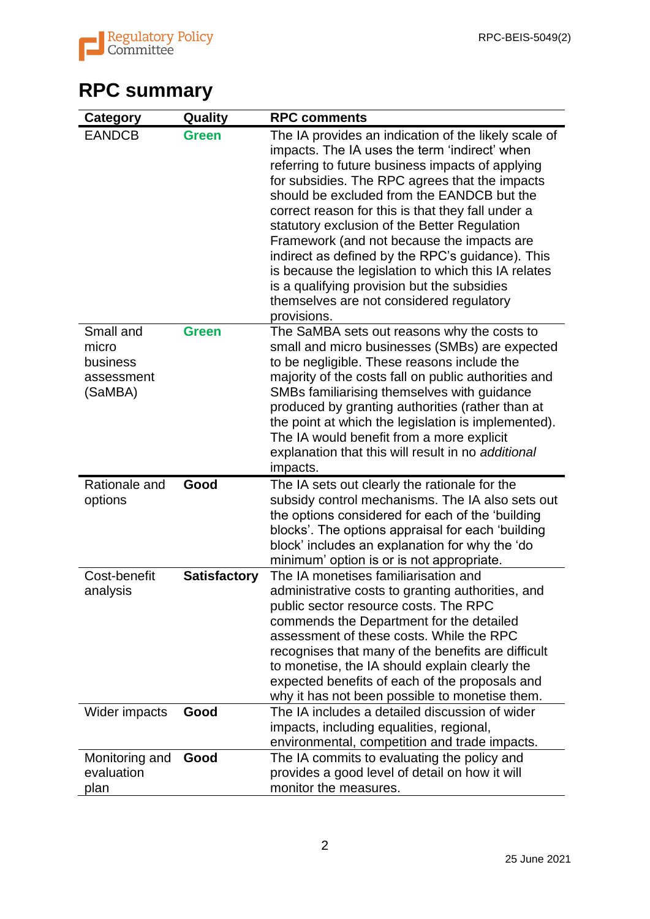

## **RPC summary**

| <b>Category</b>                                         | Quality             | <b>RPC comments</b>                                                                                                                                                                                                                                                                                                                                                                                                                                                                                                                                                                                                               |
|---------------------------------------------------------|---------------------|-----------------------------------------------------------------------------------------------------------------------------------------------------------------------------------------------------------------------------------------------------------------------------------------------------------------------------------------------------------------------------------------------------------------------------------------------------------------------------------------------------------------------------------------------------------------------------------------------------------------------------------|
| <b>EANDCB</b>                                           | <b>Green</b>        | The IA provides an indication of the likely scale of<br>impacts. The IA uses the term 'indirect' when<br>referring to future business impacts of applying<br>for subsidies. The RPC agrees that the impacts<br>should be excluded from the EANDCB but the<br>correct reason for this is that they fall under a<br>statutory exclusion of the Better Regulation<br>Framework (and not because the impacts are<br>indirect as defined by the RPC's guidance). This<br>is because the legislation to which this IA relates<br>is a qualifying provision but the subsidies<br>themselves are not considered regulatory<br>provisions. |
| Small and<br>micro<br>business<br>assessment<br>(SaMBA) | <b>Green</b>        | The SaMBA sets out reasons why the costs to<br>small and micro businesses (SMBs) are expected<br>to be negligible. These reasons include the<br>majority of the costs fall on public authorities and<br>SMBs familiarising themselves with guidance<br>produced by granting authorities (rather than at<br>the point at which the legislation is implemented).<br>The IA would benefit from a more explicit<br>explanation that this will result in no additional<br>impacts.                                                                                                                                                     |
| Rationale and<br>options                                | Good                | The IA sets out clearly the rationale for the<br>subsidy control mechanisms. The IA also sets out<br>the options considered for each of the 'building<br>blocks'. The options appraisal for each 'building<br>block' includes an explanation for why the 'do<br>minimum' option is or is not appropriate.                                                                                                                                                                                                                                                                                                                         |
| Cost-benefit<br>analysis                                | <b>Satisfactory</b> | The IA monetises familiarisation and<br>administrative costs to granting authorities, and<br>public sector resource costs. The RPC<br>commends the Department for the detailed<br>assessment of these costs. While the RPC<br>recognises that many of the benefits are difficult<br>to monetise, the IA should explain clearly the<br>expected benefits of each of the proposals and<br>why it has not been possible to monetise them.                                                                                                                                                                                            |
| Wider impacts                                           | Good                | The IA includes a detailed discussion of wider<br>impacts, including equalities, regional,<br>environmental, competition and trade impacts.                                                                                                                                                                                                                                                                                                                                                                                                                                                                                       |
| Monitoring and<br>evaluation<br>plan                    | Good                | The IA commits to evaluating the policy and<br>provides a good level of detail on how it will<br>monitor the measures.                                                                                                                                                                                                                                                                                                                                                                                                                                                                                                            |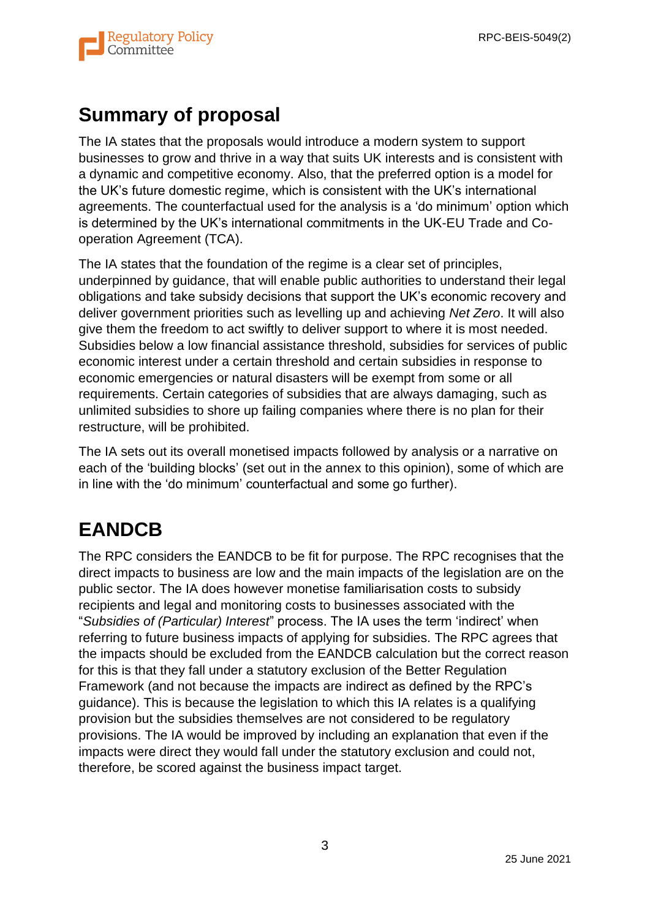

## **Summary of proposal**

The IA states that the proposals would introduce a modern system to support businesses to grow and thrive in a way that suits UK interests and is consistent with a dynamic and competitive economy. Also, that the preferred option is a model for the UK's future domestic regime, which is consistent with the UK's international agreements. The counterfactual used for the analysis is a 'do minimum' option which is determined by the UK's international commitments in the UK-EU Trade and Cooperation Agreement (TCA).

The IA states that the foundation of the regime is a clear set of principles, underpinned by guidance, that will enable public authorities to understand their legal obligations and take subsidy decisions that support the UK's economic recovery and deliver government priorities such as levelling up and achieving *Net Zero*. It will also give them the freedom to act swiftly to deliver support to where it is most needed. Subsidies below a low financial assistance threshold, subsidies for services of public economic interest under a certain threshold and certain subsidies in response to economic emergencies or natural disasters will be exempt from some or all requirements. Certain categories of subsidies that are always damaging, such as unlimited subsidies to shore up failing companies where there is no plan for their restructure, will be prohibited.

The IA sets out its overall monetised impacts followed by analysis or a narrative on each of the 'building blocks' (set out in the annex to this opinion), some of which are in line with the 'do minimum' counterfactual and some go further).

## **EANDCB**

The RPC considers the EANDCB to be fit for purpose. The RPC recognises that the direct impacts to business are low and the main impacts of the legislation are on the public sector. The IA does however monetise familiarisation costs to subsidy recipients and legal and monitoring costs to businesses associated with the "*Subsidies of (Particular) Interest*" process. The IA uses the term 'indirect' when referring to future business impacts of applying for subsidies. The RPC agrees that the impacts should be excluded from the EANDCB calculation but the correct reason for this is that they fall under a statutory exclusion of the Better Regulation Framework (and not because the impacts are indirect as defined by the RPC's guidance). This is because the legislation to which this IA relates is a qualifying provision but the subsidies themselves are not considered to be regulatory provisions. The IA would be improved by including an explanation that even if the impacts were direct they would fall under the statutory exclusion and could not, therefore, be scored against the business impact target.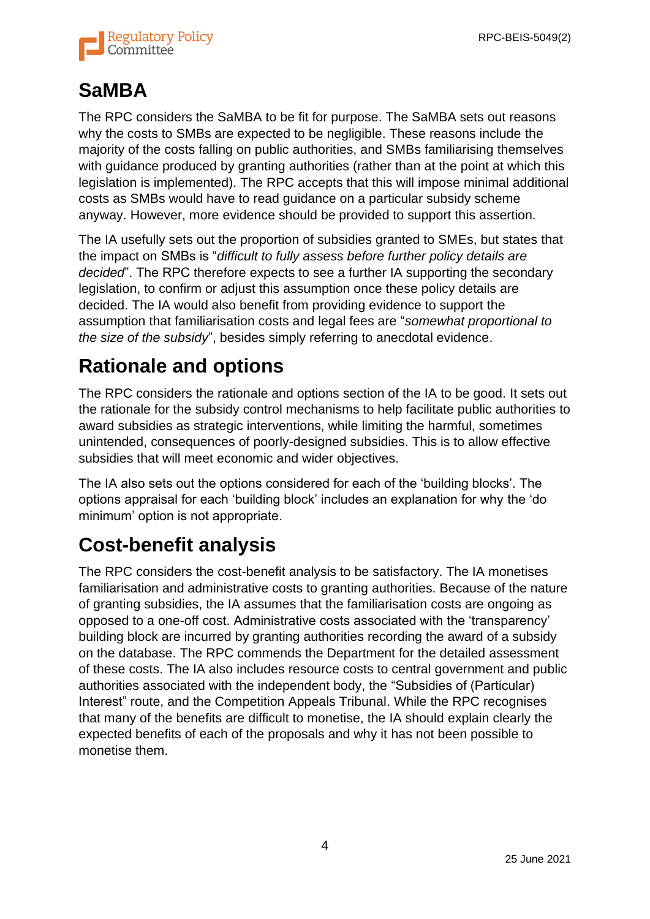

## **SaMBA**

The RPC considers the SaMBA to be fit for purpose. The SaMBA sets out reasons why the costs to SMBs are expected to be negligible. These reasons include the majority of the costs falling on public authorities, and SMBs familiarising themselves with guidance produced by granting authorities (rather than at the point at which this legislation is implemented). The RPC accepts that this will impose minimal additional costs as SMBs would have to read guidance on a particular subsidy scheme anyway. However, more evidence should be provided to support this assertion.

The IA usefully sets out the proportion of subsidies granted to SMEs, but states that the impact on SMBs is "*difficult to fully assess before further policy details are decided*". The RPC therefore expects to see a further IA supporting the secondary legislation, to confirm or adjust this assumption once these policy details are decided. The IA would also benefit from providing evidence to support the assumption that familiarisation costs and legal fees are "*somewhat proportional to the size of the subsidy*", besides simply referring to anecdotal evidence.

## **Rationale and options**

The RPC considers the rationale and options section of the IA to be good. It sets out the rationale for the subsidy control mechanisms to help facilitate public authorities to award subsidies as strategic interventions, while limiting the harmful, sometimes unintended, consequences of poorly-designed subsidies. This is to allow effective subsidies that will meet economic and wider objectives.

The IA also sets out the options considered for each of the 'building blocks'. The options appraisal for each 'building block' includes an explanation for why the 'do minimum' option is not appropriate.

## **Cost-benefit analysis**

The RPC considers the cost-benefit analysis to be satisfactory. The IA monetises familiarisation and administrative costs to granting authorities. Because of the nature of granting subsidies, the IA assumes that the familiarisation costs are ongoing as opposed to a one-off cost. Administrative costs associated with the 'transparency' building block are incurred by granting authorities recording the award of a subsidy on the database. The RPC commends the Department for the detailed assessment of these costs. The IA also includes resource costs to central government and public authorities associated with the independent body, the "Subsidies of (Particular) Interest" route, and the Competition Appeals Tribunal. While the RPC recognises that many of the benefits are difficult to monetise, the IA should explain clearly the expected benefits of each of the proposals and why it has not been possible to monetise them.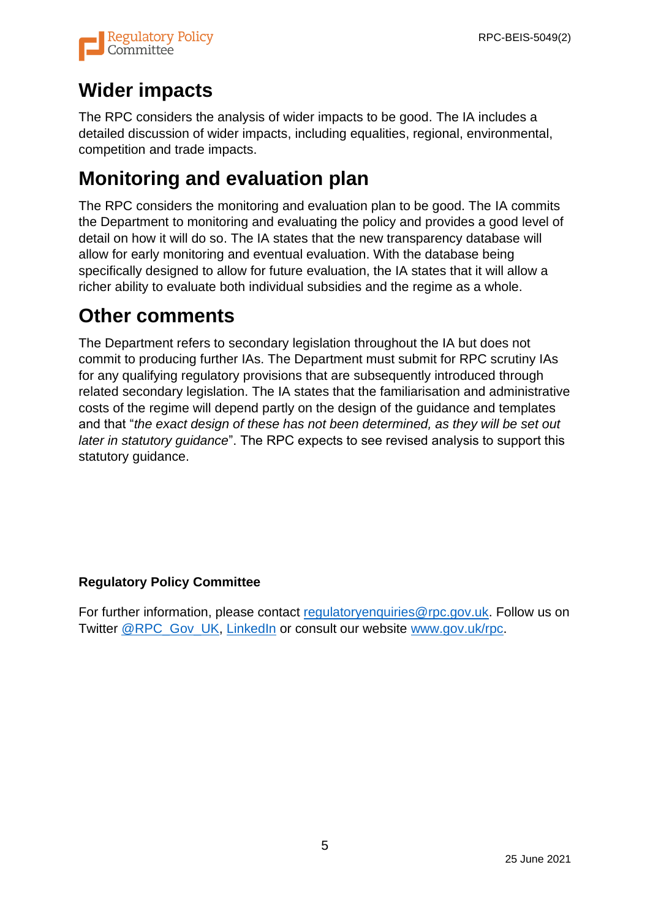

## **Wider impacts**

The RPC considers the analysis of wider impacts to be good. The IA includes a detailed discussion of wider impacts, including equalities, regional, environmental, competition and trade impacts.

## **Monitoring and evaluation plan**

The RPC considers the monitoring and evaluation plan to be good. The IA commits the Department to monitoring and evaluating the policy and provides a good level of detail on how it will do so. The IA states that the new transparency database will allow for early monitoring and eventual evaluation. With the database being specifically designed to allow for future evaluation, the IA states that it will allow a richer ability to evaluate both individual subsidies and the regime as a whole.

#### **Other comments**

The Department refers to secondary legislation throughout the IA but does not commit to producing further IAs. The Department must submit for RPC scrutiny IAs for any qualifying regulatory provisions that are subsequently introduced through related secondary legislation. The IA states that the familiarisation and administrative costs of the regime will depend partly on the design of the guidance and templates and that "*the exact design of these has not been determined, as they will be set out later in statutory guidance*". The RPC expects to see revised analysis to support this statutory guidance.

#### **Regulatory Policy Committee**

For further information, please contact regulatory enquiries @rpc.gov.uk. Follow us on Twitter [@RPC\\_Gov\\_UK,](http://twitter.com/rpc_gov_uk) [LinkedIn](https://www.linkedin.com/company/regulatory-policy-committee) or consult our website [www.gov.uk/rpc.](https://eur02.safelinks.protection.outlook.com/?url=http%3A%2F%2Fwww.gov.uk%2Frpc&data=04%7C01%7CSasha.Reed%40rpc.gov.uk%7C7b68af789b6e4bd8335708d8c39d1416%7Ccbac700502c143ebb497e6492d1b2dd8%7C0%7C0%7C637474426694147795%7CUnknown%7CTWFpbGZsb3d8eyJWIjoiMC4wLjAwMDAiLCJQIjoiV2luMzIiLCJBTiI6Ik1haWwiLCJXVCI6Mn0%3D%7C1000&sdata=RBnyrQxmIAqHz9YPX7Ja0Vz%2FNdqIoH2PE4AoSmdfEW0%3D&reserved=0)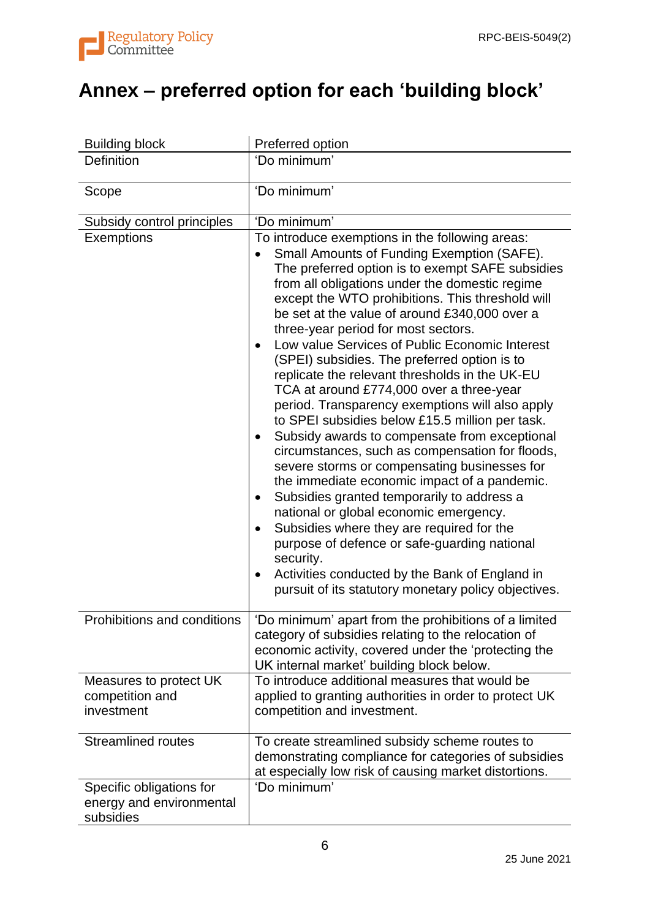

# **Annex – preferred option for each 'building block'**

| <b>Building block</b>                                             | Preferred option                                                                                                                                                                                                                                                                                                                                                                                                                                                                                                                                                                                                                                                                                                                                                                                                                                                                                                                                                                                                                                                                                                                                                           |
|-------------------------------------------------------------------|----------------------------------------------------------------------------------------------------------------------------------------------------------------------------------------------------------------------------------------------------------------------------------------------------------------------------------------------------------------------------------------------------------------------------------------------------------------------------------------------------------------------------------------------------------------------------------------------------------------------------------------------------------------------------------------------------------------------------------------------------------------------------------------------------------------------------------------------------------------------------------------------------------------------------------------------------------------------------------------------------------------------------------------------------------------------------------------------------------------------------------------------------------------------------|
| <b>Definition</b>                                                 | 'Do minimum'                                                                                                                                                                                                                                                                                                                                                                                                                                                                                                                                                                                                                                                                                                                                                                                                                                                                                                                                                                                                                                                                                                                                                               |
| Scope                                                             | 'Do minimum'                                                                                                                                                                                                                                                                                                                                                                                                                                                                                                                                                                                                                                                                                                                                                                                                                                                                                                                                                                                                                                                                                                                                                               |
| Subsidy control principles                                        | 'Do minimum'                                                                                                                                                                                                                                                                                                                                                                                                                                                                                                                                                                                                                                                                                                                                                                                                                                                                                                                                                                                                                                                                                                                                                               |
| <b>Exemptions</b>                                                 | To introduce exemptions in the following areas:<br>Small Amounts of Funding Exemption (SAFE).<br>The preferred option is to exempt SAFE subsidies<br>from all obligations under the domestic regime<br>except the WTO prohibitions. This threshold will<br>be set at the value of around £340,000 over a<br>three-year period for most sectors.<br>Low value Services of Public Economic Interest<br>(SPEI) subsidies. The preferred option is to<br>replicate the relevant thresholds in the UK-EU<br>TCA at around £774,000 over a three-year<br>period. Transparency exemptions will also apply<br>to SPEI subsidies below £15.5 million per task.<br>Subsidy awards to compensate from exceptional<br>circumstances, such as compensation for floods,<br>severe storms or compensating businesses for<br>the immediate economic impact of a pandemic.<br>Subsidies granted temporarily to address a<br>national or global economic emergency.<br>Subsidies where they are required for the<br>purpose of defence or safe-guarding national<br>security.<br>Activities conducted by the Bank of England in<br>٠<br>pursuit of its statutory monetary policy objectives. |
| Prohibitions and conditions                                       | 'Do minimum' apart from the prohibitions of a limited<br>category of subsidies relating to the relocation of<br>economic activity, covered under the 'protecting the<br>UK internal market' building block below.                                                                                                                                                                                                                                                                                                                                                                                                                                                                                                                                                                                                                                                                                                                                                                                                                                                                                                                                                          |
| Measures to protect UK<br>competition and<br>investment           | To introduce additional measures that would be<br>applied to granting authorities in order to protect UK<br>competition and investment.                                                                                                                                                                                                                                                                                                                                                                                                                                                                                                                                                                                                                                                                                                                                                                                                                                                                                                                                                                                                                                    |
| <b>Streamlined routes</b>                                         | To create streamlined subsidy scheme routes to<br>demonstrating compliance for categories of subsidies<br>at especially low risk of causing market distortions.                                                                                                                                                                                                                                                                                                                                                                                                                                                                                                                                                                                                                                                                                                                                                                                                                                                                                                                                                                                                            |
| Specific obligations for<br>energy and environmental<br>subsidies | 'Do minimum'                                                                                                                                                                                                                                                                                                                                                                                                                                                                                                                                                                                                                                                                                                                                                                                                                                                                                                                                                                                                                                                                                                                                                               |